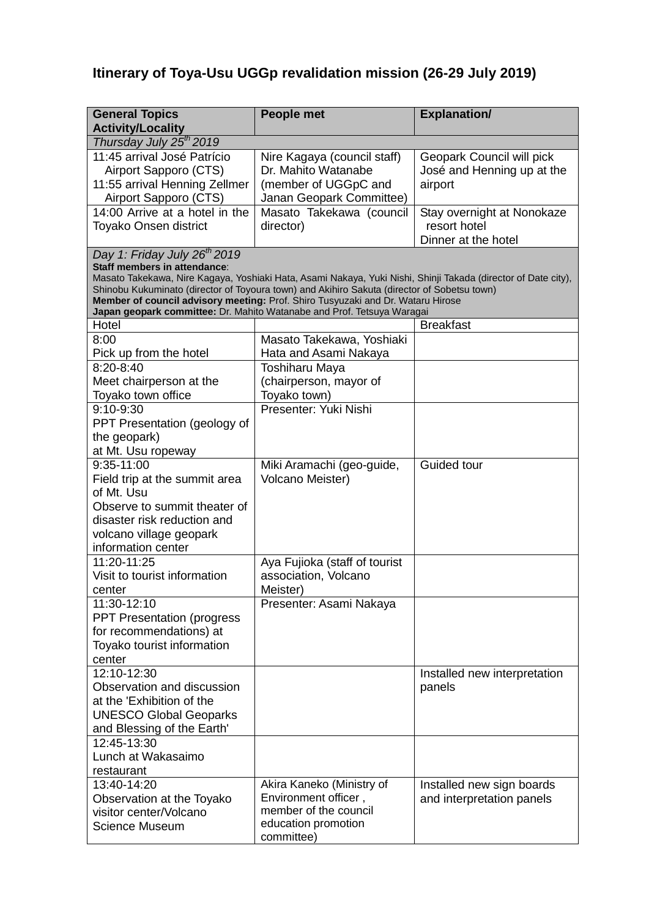## **Itinerary of Toya-Usu UGGp revalidation mission (26-29 July 2019)**

| <b>General Topics</b><br><b>Activity/Locality</b>                                                                                                                                                            | <b>People met</b>                             | <b>Explanation/</b>          |  |  |  |
|--------------------------------------------------------------------------------------------------------------------------------------------------------------------------------------------------------------|-----------------------------------------------|------------------------------|--|--|--|
| Thursday July 25 <sup>th</sup> 2019                                                                                                                                                                          |                                               |                              |  |  |  |
| 11:45 arrival José Patrício                                                                                                                                                                                  | Nire Kagaya (council staff)                   | Geopark Council will pick    |  |  |  |
| Airport Sapporo (CTS)                                                                                                                                                                                        | Dr. Mahito Watanabe                           | José and Henning up at the   |  |  |  |
| 11:55 arrival Henning Zellmer                                                                                                                                                                                | (member of UGGpC and                          | airport                      |  |  |  |
| Airport Sapporo (CTS)                                                                                                                                                                                        | Janan Geopark Committee)                      |                              |  |  |  |
| 14:00 Arrive at a hotel in the                                                                                                                                                                               | Masato Takekawa (council                      | Stay overnight at Nonokaze   |  |  |  |
| Toyako Onsen district                                                                                                                                                                                        | director)                                     | resort hotel                 |  |  |  |
|                                                                                                                                                                                                              |                                               | Dinner at the hotel          |  |  |  |
| Day 1: Friday July 26 <sup>th</sup> 2019                                                                                                                                                                     |                                               |                              |  |  |  |
| Staff members in attendance:                                                                                                                                                                                 |                                               |                              |  |  |  |
| Masato Takekawa, Nire Kagaya, Yoshiaki Hata, Asami Nakaya, Yuki Nishi, Shinji Takada (director of Date city),<br>Shinobu Kukuminato (director of Toyoura town) and Akihiro Sakuta (director of Sobetsu town) |                                               |                              |  |  |  |
| Member of council advisory meeting: Prof. Shiro Tusyuzaki and Dr. Wataru Hirose                                                                                                                              |                                               |                              |  |  |  |
| Japan geopark committee: Dr. Mahito Watanabe and Prof. Tetsuya Waragai                                                                                                                                       |                                               |                              |  |  |  |
| Hotel                                                                                                                                                                                                        |                                               | <b>Breakfast</b>             |  |  |  |
| 8:00                                                                                                                                                                                                         | Masato Takekawa, Yoshiaki                     |                              |  |  |  |
| Pick up from the hotel                                                                                                                                                                                       | Hata and Asami Nakaya                         |                              |  |  |  |
| 8:20-8:40                                                                                                                                                                                                    | <b>Toshiharu Maya</b>                         |                              |  |  |  |
| Meet chairperson at the                                                                                                                                                                                      | (chairperson, mayor of                        |                              |  |  |  |
| Toyako town office                                                                                                                                                                                           | Toyako town)                                  |                              |  |  |  |
| 9:10-9:30                                                                                                                                                                                                    | Presenter: Yuki Nishi                         |                              |  |  |  |
| PPT Presentation (geology of                                                                                                                                                                                 |                                               |                              |  |  |  |
| the geopark)                                                                                                                                                                                                 |                                               |                              |  |  |  |
| at Mt. Usu ropeway                                                                                                                                                                                           |                                               |                              |  |  |  |
| 9:35-11:00                                                                                                                                                                                                   | Miki Aramachi (geo-guide,                     | <b>Guided tour</b>           |  |  |  |
| Field trip at the summit area<br>of Mt. Usu                                                                                                                                                                  | Volcano Meister)                              |                              |  |  |  |
| Observe to summit theater of                                                                                                                                                                                 |                                               |                              |  |  |  |
| disaster risk reduction and                                                                                                                                                                                  |                                               |                              |  |  |  |
| volcano village geopark                                                                                                                                                                                      |                                               |                              |  |  |  |
| information center                                                                                                                                                                                           |                                               |                              |  |  |  |
| 11:20-11:25                                                                                                                                                                                                  | Aya Fujioka (staff of tourist                 |                              |  |  |  |
| Visit to tourist information                                                                                                                                                                                 | association, Volcano                          |                              |  |  |  |
| center                                                                                                                                                                                                       | Meister)                                      |                              |  |  |  |
| 11:30-12:10                                                                                                                                                                                                  | Presenter: Asami Nakaya                       |                              |  |  |  |
| <b>PPT Presentation (progress</b>                                                                                                                                                                            |                                               |                              |  |  |  |
| for recommendations) at                                                                                                                                                                                      |                                               |                              |  |  |  |
| Toyako tourist information                                                                                                                                                                                   |                                               |                              |  |  |  |
| center                                                                                                                                                                                                       |                                               |                              |  |  |  |
| 12:10-12:30                                                                                                                                                                                                  |                                               | Installed new interpretation |  |  |  |
| Observation and discussion                                                                                                                                                                                   |                                               | panels                       |  |  |  |
| at the 'Exhibition of the                                                                                                                                                                                    |                                               |                              |  |  |  |
| <b>UNESCO Global Geoparks</b>                                                                                                                                                                                |                                               |                              |  |  |  |
| and Blessing of the Earth'                                                                                                                                                                                   |                                               |                              |  |  |  |
| 12:45-13:30                                                                                                                                                                                                  |                                               |                              |  |  |  |
| Lunch at Wakasaimo                                                                                                                                                                                           |                                               |                              |  |  |  |
| restaurant                                                                                                                                                                                                   |                                               |                              |  |  |  |
| 13:40-14:20                                                                                                                                                                                                  | Akira Kaneko (Ministry of                     | Installed new sign boards    |  |  |  |
| Observation at the Toyako                                                                                                                                                                                    | Environment officer,<br>member of the council | and interpretation panels    |  |  |  |
| visitor center/Volcano                                                                                                                                                                                       | education promotion                           |                              |  |  |  |
| <b>Science Museum</b>                                                                                                                                                                                        | committee)                                    |                              |  |  |  |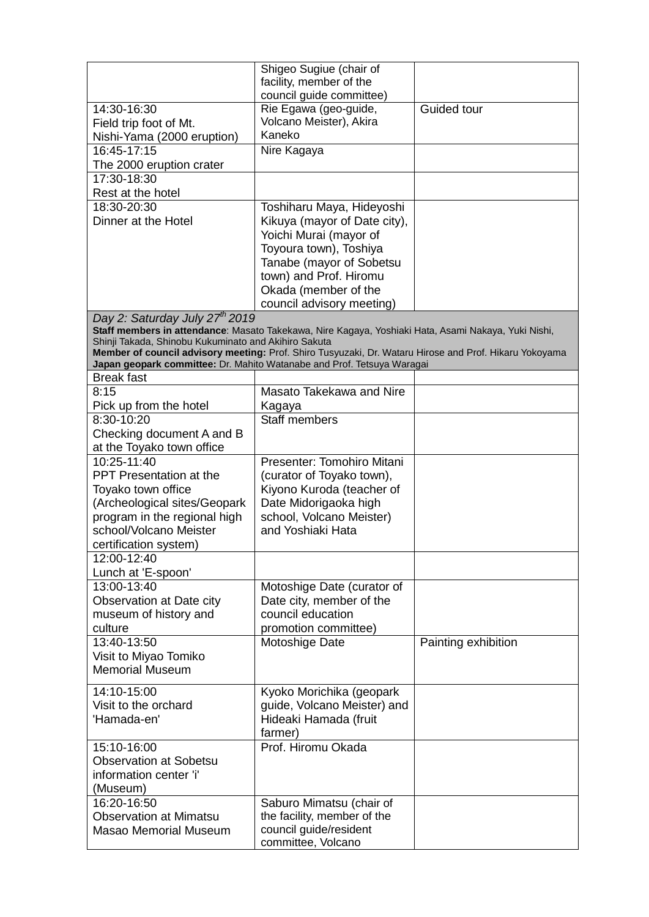|                                                                                                                                                   | Shigeo Sugiue (chair of<br>facility, member of the<br>council guide committee) |                     |
|---------------------------------------------------------------------------------------------------------------------------------------------------|--------------------------------------------------------------------------------|---------------------|
| 14:30-16:30                                                                                                                                       | Rie Egawa (geo-guide,                                                          | Guided tour         |
| Field trip foot of Mt.                                                                                                                            | Volcano Meister), Akira                                                        |                     |
| Nishi-Yama (2000 eruption)                                                                                                                        | Kaneko                                                                         |                     |
| 16:45-17:15                                                                                                                                       | Nire Kagaya                                                                    |                     |
| The 2000 eruption crater                                                                                                                          |                                                                                |                     |
| 17:30-18:30                                                                                                                                       |                                                                                |                     |
| Rest at the hotel                                                                                                                                 |                                                                                |                     |
| 18:30-20:30                                                                                                                                       | Toshiharu Maya, Hideyoshi                                                      |                     |
| Dinner at the Hotel                                                                                                                               | Kikuya (mayor of Date city),                                                   |                     |
|                                                                                                                                                   | Yoichi Murai (mayor of                                                         |                     |
|                                                                                                                                                   | Toyoura town), Toshiya                                                         |                     |
|                                                                                                                                                   | Tanabe (mayor of Sobetsu                                                       |                     |
|                                                                                                                                                   | town) and Prof. Hiromu                                                         |                     |
|                                                                                                                                                   | Okada (member of the                                                           |                     |
|                                                                                                                                                   | council advisory meeting)                                                      |                     |
| Day 2: Saturday July 27 <sup>th</sup> 2019<br>Staff members in attendance: Masato Takekawa, Nire Kagaya, Yoshiaki Hata, Asami Nakaya, Yuki Nishi, |                                                                                |                     |
| Shinji Takada, Shinobu Kukuminato and Akihiro Sakuta                                                                                              |                                                                                |                     |
| Member of council advisory meeting: Prof. Shiro Tusyuzaki, Dr. Wataru Hirose and Prof. Hikaru Yokoyama                                            |                                                                                |                     |
| Japan geopark committee: Dr. Mahito Watanabe and Prof. Tetsuya Waragai                                                                            |                                                                                |                     |
| <b>Break fast</b><br>8:15                                                                                                                         | Masato Takekawa and Nire                                                       |                     |
|                                                                                                                                                   |                                                                                |                     |
| Pick up from the hotel<br>8:30-10:20                                                                                                              | Kagaya<br><b>Staff members</b>                                                 |                     |
| Checking document A and B                                                                                                                         |                                                                                |                     |
| at the Toyako town office                                                                                                                         |                                                                                |                     |
| 10:25-11:40                                                                                                                                       | Presenter: Tomohiro Mitani                                                     |                     |
| <b>PPT</b> Presentation at the                                                                                                                    | (curator of Toyako town),                                                      |                     |
| Toyako town office                                                                                                                                | Kiyono Kuroda (teacher of                                                      |                     |
| (Archeological sites/Geopark                                                                                                                      | Date Midorigaoka high                                                          |                     |
| program in the regional high                                                                                                                      | school, Volcano Meister)                                                       |                     |
| school/Volcano Meister                                                                                                                            | and Yoshiaki Hata                                                              |                     |
| certification system)                                                                                                                             |                                                                                |                     |
| 12:00-12:40                                                                                                                                       |                                                                                |                     |
| Lunch at 'E-spoon'                                                                                                                                |                                                                                |                     |
| 13:00-13:40                                                                                                                                       | Motoshige Date (curator of                                                     |                     |
| Observation at Date city                                                                                                                          | Date city, member of the                                                       |                     |
| museum of history and                                                                                                                             | council education                                                              |                     |
| culture                                                                                                                                           | promotion committee)                                                           |                     |
| 13:40-13:50                                                                                                                                       | Motoshige Date                                                                 | Painting exhibition |
| Visit to Miyao Tomiko<br><b>Memorial Museum</b>                                                                                                   |                                                                                |                     |
|                                                                                                                                                   |                                                                                |                     |
| 14:10-15:00                                                                                                                                       | Kyoko Morichika (geopark                                                       |                     |
| Visit to the orchard                                                                                                                              | guide, Volcano Meister) and                                                    |                     |
| 'Hamada-en'                                                                                                                                       | Hideaki Hamada (fruit                                                          |                     |
|                                                                                                                                                   | farmer)                                                                        |                     |
| 15:10-16:00                                                                                                                                       | Prof. Hiromu Okada                                                             |                     |
| <b>Observation at Sobetsu</b>                                                                                                                     |                                                                                |                     |
| information center 'i'                                                                                                                            |                                                                                |                     |
| (Museum)<br>16:20-16:50                                                                                                                           |                                                                                |                     |
| <b>Observation at Mimatsu</b>                                                                                                                     | Saburo Mimatsu (chair of<br>the facility, member of the                        |                     |
| <b>Masao Memorial Museum</b>                                                                                                                      | council guide/resident                                                         |                     |
|                                                                                                                                                   | committee, Volcano                                                             |                     |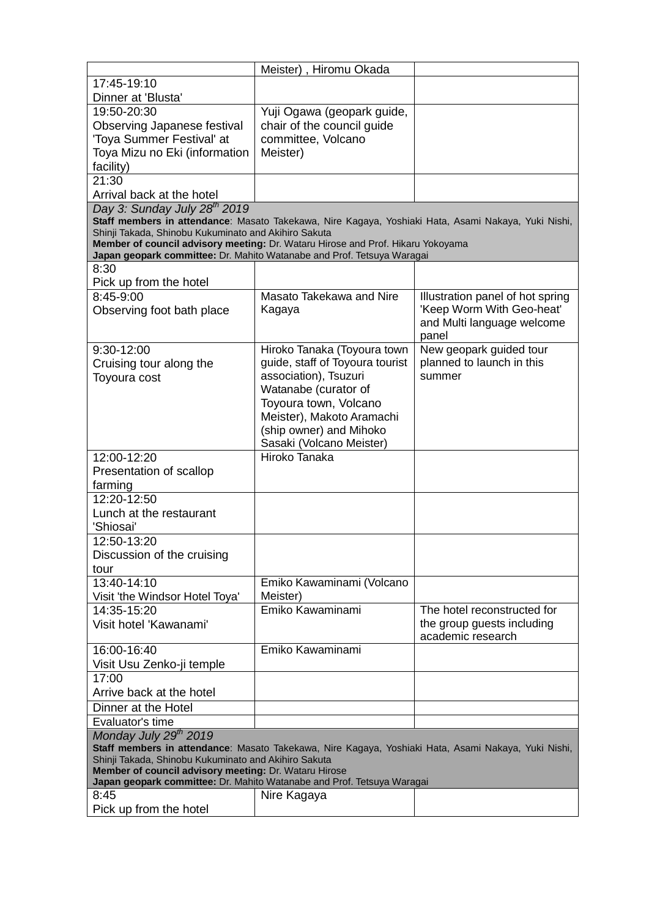|                                                                                                                                          | Meister), Hiromu Okada                                   |                                                      |  |  |
|------------------------------------------------------------------------------------------------------------------------------------------|----------------------------------------------------------|------------------------------------------------------|--|--|
| 17:45-19:10                                                                                                                              |                                                          |                                                      |  |  |
| Dinner at 'Blusta'                                                                                                                       |                                                          |                                                      |  |  |
| 19:50-20:30                                                                                                                              | Yuji Ogawa (geopark guide,                               |                                                      |  |  |
| Observing Japanese festival                                                                                                              | chair of the council guide                               |                                                      |  |  |
| 'Toya Summer Festival' at                                                                                                                | committee, Volcano                                       |                                                      |  |  |
| Toya Mizu no Eki (information                                                                                                            | Meister)                                                 |                                                      |  |  |
| facility)                                                                                                                                |                                                          |                                                      |  |  |
| 21:30                                                                                                                                    |                                                          |                                                      |  |  |
| Arrival back at the hotel                                                                                                                |                                                          |                                                      |  |  |
| Day 3: Sunday July 28th 2019                                                                                                             |                                                          |                                                      |  |  |
| Staff members in attendance: Masato Takekawa, Nire Kagaya, Yoshiaki Hata, Asami Nakaya, Yuki Nishi,                                      |                                                          |                                                      |  |  |
| Shinji Takada, Shinobu Kukuminato and Akihiro Sakuta                                                                                     |                                                          |                                                      |  |  |
| Member of council advisory meeting: Dr. Wataru Hirose and Prof. Hikaru Yokoyama                                                          |                                                          |                                                      |  |  |
| Japan geopark committee: Dr. Mahito Watanabe and Prof. Tetsuya Waragai                                                                   |                                                          |                                                      |  |  |
| 8:30                                                                                                                                     |                                                          |                                                      |  |  |
| Pick up from the hotel                                                                                                                   |                                                          |                                                      |  |  |
| 8:45-9:00                                                                                                                                | Masato Takekawa and Nire                                 | Illustration panel of hot spring                     |  |  |
| Observing foot bath place                                                                                                                | Kagaya                                                   | 'Keep Worm With Geo-heat'                            |  |  |
|                                                                                                                                          |                                                          | and Multi language welcome                           |  |  |
|                                                                                                                                          |                                                          | panel                                                |  |  |
| 9:30-12:00                                                                                                                               | Hiroko Tanaka (Toyoura town                              | New geopark guided tour<br>planned to launch in this |  |  |
| Cruising tour along the                                                                                                                  | guide, staff of Toyoura tourist<br>association), Tsuzuri | summer                                               |  |  |
| Toyoura cost                                                                                                                             |                                                          |                                                      |  |  |
|                                                                                                                                          | Watanabe (curator of<br>Toyoura town, Volcano            |                                                      |  |  |
|                                                                                                                                          | Meister), Makoto Aramachi                                |                                                      |  |  |
|                                                                                                                                          | (ship owner) and Mihoko                                  |                                                      |  |  |
|                                                                                                                                          | Sasaki (Volcano Meister)                                 |                                                      |  |  |
| 12:00-12:20                                                                                                                              | Hiroko Tanaka                                            |                                                      |  |  |
| Presentation of scallop                                                                                                                  |                                                          |                                                      |  |  |
| farming                                                                                                                                  |                                                          |                                                      |  |  |
| 12:20-12:50                                                                                                                              |                                                          |                                                      |  |  |
| Lunch at the restaurant                                                                                                                  |                                                          |                                                      |  |  |
| 'Shiosai'                                                                                                                                |                                                          |                                                      |  |  |
| 12:50-13:20                                                                                                                              |                                                          |                                                      |  |  |
| Discussion of the cruising                                                                                                               |                                                          |                                                      |  |  |
| tour                                                                                                                                     |                                                          |                                                      |  |  |
| 13:40-14:10                                                                                                                              | Emiko Kawaminami (Volcano                                |                                                      |  |  |
| Visit 'the Windsor Hotel Toya'                                                                                                           | Meister)                                                 |                                                      |  |  |
| 14:35-15:20                                                                                                                              | Emiko Kawaminami                                         | The hotel reconstructed for                          |  |  |
| Visit hotel 'Kawanami'                                                                                                                   |                                                          | the group guests including                           |  |  |
|                                                                                                                                          |                                                          | academic research                                    |  |  |
| 16:00-16:40                                                                                                                              | Emiko Kawaminami                                         |                                                      |  |  |
| Visit Usu Zenko-ji temple                                                                                                                |                                                          |                                                      |  |  |
| 17:00                                                                                                                                    |                                                          |                                                      |  |  |
| Arrive back at the hotel                                                                                                                 |                                                          |                                                      |  |  |
|                                                                                                                                          |                                                          |                                                      |  |  |
| Dinner at the Hotel                                                                                                                      |                                                          |                                                      |  |  |
| Evaluator's time                                                                                                                         |                                                          |                                                      |  |  |
| Monday July 29 <sup>th</sup> 2019<br>Staff members in attendance: Masato Takekawa, Nire Kagaya, Yoshiaki Hata, Asami Nakaya, Yuki Nishi, |                                                          |                                                      |  |  |
| Shinji Takada, Shinobu Kukuminato and Akihiro Sakuta                                                                                     |                                                          |                                                      |  |  |
| Member of council advisory meeting: Dr. Wataru Hirose                                                                                    |                                                          |                                                      |  |  |
| Japan geopark committee: Dr. Mahito Watanabe and Prof. Tetsuya Waragai                                                                   |                                                          |                                                      |  |  |
| 8:45                                                                                                                                     | Nire Kagaya                                              |                                                      |  |  |
| Pick up from the hotel                                                                                                                   |                                                          |                                                      |  |  |